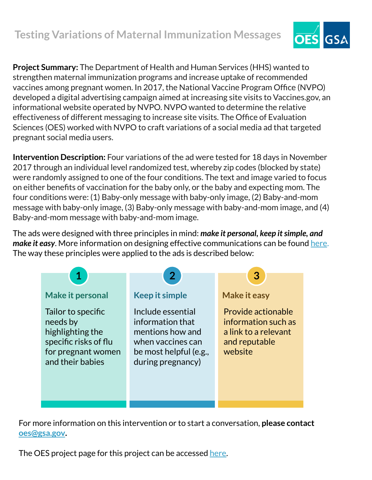## **Testing Variations of Maternal Immunization Messages**



**Project Summary:** The Department of Health and Human Services (HHS) wanted to strengthen maternal immunization programs and increase uptake of recommended vaccines among pregnant women. In 2017, the National Vaccine Program Office (NVPO) developed a digital advertising campaign aimed at increasing site visits to Vaccines.gov, an informational website operated by NVPO. NVPO wanted to determine the relative effectiveness of different messaging to increase site visits. The Office of Evaluation Sciences (OES) worked with NVPO to craft variations of a social media ad that targeted pregnant social media users.

**Intervention Description:** Four variations of the ad were tested for 18 days in November 2017 through an individual level randomized test, whereby zip codes (blocked by state) were randomly assigned to one of the four conditions. The text and image varied to focus on either benefits of vaccination for the baby only, or the baby and expecting mom. The four conditions were: (1) Baby-only message with baby-only image, (2) Baby-and-mom message with baby-only image, (3) Baby-only message with baby-and-mom image, and (4) Baby-and-mom message with baby-and-mom image.

The ads were designed with three principles in mind: *make it personal, keep it simple, and make it easy*. More information on designing effective communications can be found [here.](https://oes.gsa.gov/assets/abstracts/OES%20Learnings%20on%20Writing%20Better%20Communications%202018.pdf) The way these principles were applied to the ads is described below:



For more information on this intervention or to start a conversation, **please contact [oes@gsa.gov](mailto:oes@gsa.gov).**

The OES project page for this project can be accessed [here.](https://oes.gsa.gov/projects/pregnancy-vaccines-ads/)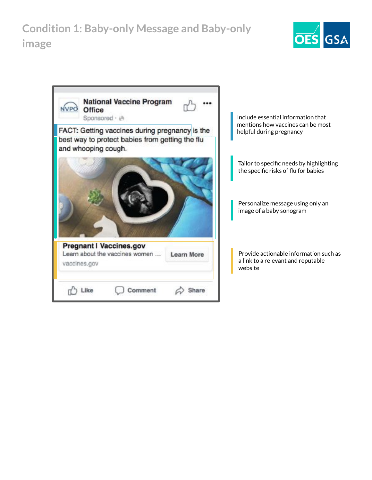**Condition 1: Baby-only Message and Baby-only image**